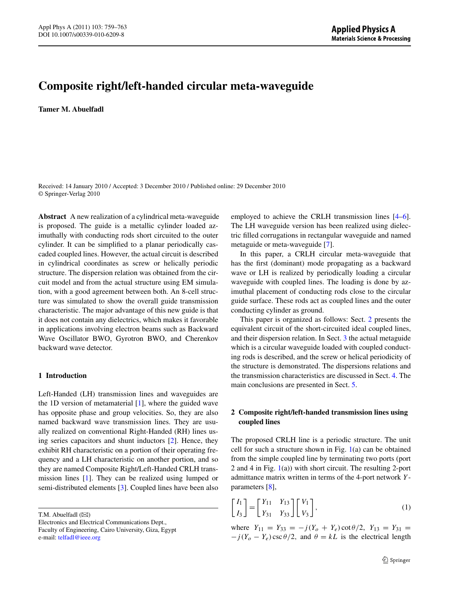# **Composite right/left-handed circular meta-waveguide**

**Tamer M. Abuelfadl**

Received: 14 January 2010 / Accepted: 3 December 2010 / Published online: 29 December 2010 © Springer-Verlag 2010

**Abstract** A new realization of a cylindrical meta-waveguide is proposed. The guide is a metallic cylinder loaded azimuthally with conducting rods short circuited to the outer cylinder. It can be simplified to a planar periodically cascaded coupled lines. However, the actual circuit is described in cylindrical coordinates as screw or helically periodic structure. The dispersion relation was obtained from the circuit model and from the actual structure using EM simulation, with a good agreement between both. An 8-cell structure was simulated to show the overall guide transmission characteristic. The major advantage of this new guide is that it does not contain any dielectrics, which makes it favorable in applications involving electron beams such as Backward Wave Oscillator BWO, Gyrotron BWO, and Cherenkov backward wave detector.

## **1 Introduction**

Left-Handed (LH) transmission lines and waveguides are the 1D version of metamaterial [\[1](#page-4-0)], where the guided wave has opposite phase and group velocities. So, they are also named backward wave transmission lines. They are usually realized on conventional Right-Handed (RH) lines using series capacitors and shunt inductors [[2\]](#page-4-1). Hence, they exhibit RH characteristic on a portion of their operating frequency and a LH characteristic on another portion, and so they are named Composite Right/Left-Handed CRLH transmission lines [[1\]](#page-4-0). They can be realized using lumped or semi-distributed elements [\[3](#page-4-2)]. Coupled lines have been also

T.M. Abuelfadl  $(\boxtimes)$ 

Electronics and Electrical Communications Dept., Faculty of Engineering, Cairo University, Giza, Egypt e-mail: [telfadl@ieee.org](mailto:telfadl@ieee.org)

employed to achieve the CRLH transmission lines [\[4](#page-4-3)[–6](#page-4-4)]. The LH waveguide version has been realized using dielectric filled corrugations in rectangular waveguide and named metaguide or meta-waveguide [[7\]](#page-4-5).

In this paper, a CRLH circular meta-waveguide that has the first (dominant) mode propagating as a backward wave or LH is realized by periodically loading a circular waveguide with coupled lines. The loading is done by azimuthal placement of conducting rods close to the circular guide surface. These rods act as coupled lines and the outer conducting cylinder as ground.

<span id="page-0-0"></span>This paper is organized as follows: Sect. [2](#page-0-0) presents the equivalent circuit of the short-circuited ideal coupled lines, and their dispersion relation. In Sect. [3](#page-1-0) the actual metaguide which is a circular waveguide loaded with coupled conducting rods is described, and the screw or helical periodicity of the structure is demonstrated. The dispersions relations and the transmission characteristics are discussed in Sect. [4.](#page-2-0) The main conclusions are presented in Sect. [5](#page-4-6).

# **2 Composite right/left-handed transmission lines using coupled lines**

<span id="page-0-1"></span>The proposed CRLH line is a periodic structure. The unit cell for such a structure shown in Fig.  $1(a)$  $1(a)$  can be obtained from the simple coupled line by terminating two ports (port 2 and 4 in Fig. [1\(](#page-1-1)a)) with short circuit. The resulting 2-port admittance matrix written in terms of the 4-port network *Y* parameters [\[8](#page-4-7)],

$$
\begin{bmatrix} I_1 \\ I_3 \end{bmatrix} = \begin{bmatrix} Y_{11} & Y_{13} \\ Y_{31} & Y_{33} \end{bmatrix} \begin{bmatrix} V_1 \\ V_3 \end{bmatrix},
$$
\n(1)

where  $Y_{11} = Y_{33} = -j(Y_o + Y_e) \cot{\theta/2}$ ,  $Y_{13} = Y_{31} =$  $-j(Y_{o} - Y_{e}) \csc \theta/2$ , and  $\theta = kL$  is the electrical length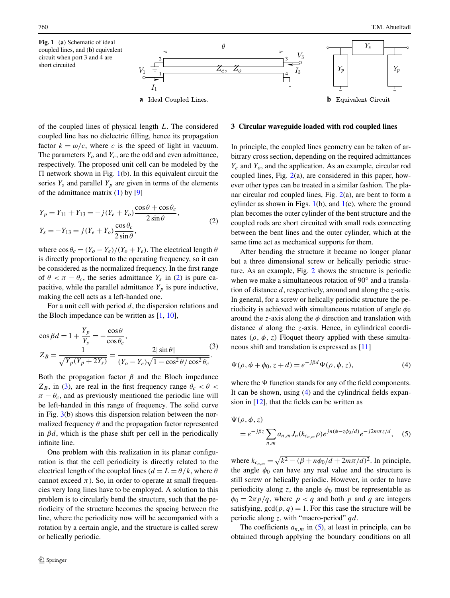<span id="page-1-0"></span>

<span id="page-1-2"></span><span id="page-1-1"></span>of the coupled lines of physical length *L*. The considered coupled line has no dielectric filling, hence its propagation factor  $k = \omega/c$ , where *c* is the speed of light in vacuum. The parameters  $Y_o$  and  $Y_e$ , are the odd and even admittance, respectively. The proposed unit cell can be modeled by the  $\Pi$  network shown in Fig. [1\(](#page-1-1)b). In this equivalent circuit the series  $Y_s$  and parallel  $Y_p$  are given in terms of the elements of the admittance matrix  $(1)$  $(1)$  by  $[9]$  $[9]$ 

$$
Y_p = Y_{11} + Y_{13} = -j(Y_e + Y_o) \frac{\cos \theta + \cos \theta_c}{2 \sin \theta},
$$
  
\n
$$
Y_s = -Y_{13} = j(Y_e + Y_o) \frac{\cos \theta_c}{2 \sin \theta},
$$
\n(2)

<span id="page-1-3"></span>where  $\cos \theta_c = (Y_o - Y_e)/(Y_o + Y_e)$ . The electrical length  $\theta$ is directly proportional to the operating frequency, so it can be considered as the normalized frequency. In the first range of  $\theta < \pi - \theta_c$ , the series admittance  $Y_s$  in [\(2](#page-1-2)) is pure capacitive, while the parallel admittance  $Y_p$  is pure inductive, making the cell acts as a left-handed one.

For a unit cell with period *d*, the dispersion relations and the Bloch impedance can be written as [\[1](#page-4-0), [10](#page-4-9)],

$$
\cos \beta d = 1 + \frac{Y_p}{Y_s} = -\frac{\cos \theta}{\cos \theta_c},
$$
  
\n
$$
Z_B = \frac{1}{\sqrt{Y_p(Y_p + 2Y_s)}} = \frac{2|\sin \theta|}{(Y_o - Y_e)\sqrt{1 - \cos^2 \theta/\cos^2 \theta_c}}.
$$
\n(3)

Both the propagation factor  $\beta$  and the Bloch impedance  $Z_B$ , in [\(3](#page-1-3)), are real in the first frequency range  $\theta_c < \theta <$  $\pi - \theta_c$ , and as previously mentioned the periodic line will be left-handed in this range of frequency. The solid curve in Fig.  $3(b)$  $3(b)$  shows this dispersion relation between the normalized frequency  $\theta$  and the propagation factor represented in  $\beta d$ , which is the phase shift per cell in the periodically infinite line.

One problem with this realization in its planar configuration is that the cell periodicity is directly related to the electrical length of the coupled lines ( $d = L = \theta/k$ , where  $\theta$ cannot exceed  $\pi$ ). So, in order to operate at small frequencies very long lines have to be employed. A solution to this problem is to circularly bend the structure, such that the periodicity of the structure becomes the spacing between the line, where the periodicity now will be accompanied with a rotation by a certain angle, and the structure is called screw or helically periodic.

## **3 Circular waveguide loaded with rod coupled lines**

In principle, the coupled lines geometry can be taken of arbitrary cross section, depending on the required admittances *Ye* and *Yo*, and the application. As an example, circular rod coupled lines, Fig. [2](#page-2-2)(a), are considered in this paper, however other types can be treated in a similar fashion. The planar circular rod coupled lines, Fig.  $2(a)$  $2(a)$ , are bent to form a cylinder as shown in Figs.  $1(b)$  $1(b)$ , and  $1(c)$  $1(c)$ , where the ground plan becomes the outer cylinder of the bent structure and the coupled rods are short circuited with small rods connecting between the bent lines and the outer cylinder, which at the same time act as mechanical supports for them.

<span id="page-1-4"></span>After bending the structure it became no longer planar but a three dimensional screw or helically periodic structure. As an example, Fig. [2](#page-2-2) shows the structure is periodic when we make a simultaneous rotation of 90° and a translation of distance *d*, respectively, around and along the *z*-axis. In general, for a screw or helically periodic structure the periodicity is achieved with simultaneous rotation of angle  $\phi_0$ around the *z*-axis along the *φ* direction and translation with distance *d* along the *z*-axis. Hence, in cylindrical coordinates  $(\rho, \phi, z)$  Floquet theory applied with these simultaneous shift and translation is expressed as [\[11](#page-4-10)]

<span id="page-1-5"></span>
$$
\Psi(\rho, \phi + \phi_0, z + d) = e^{-j\beta d} \Psi(\rho, \phi, z),\tag{4}
$$

where the  $\Psi$  function stands for any of the field components. It can be shown, using [\(4](#page-1-4)) and the cylindrical fields expansion in [[12](#page-4-11)], that the fields can be written as

$$
\Psi(\rho,\phi,z)
$$
  
=  $e^{-j\beta z} \sum_{n,m} a_{n,m} J_n(k_{c_{n,m}}\rho) e^{jn(\phi-z\phi_0/d)} e^{-j2m\pi z/d}$ , (5)

where  $k_{c_{n,m}} = \sqrt{k^2 - (\beta + n\phi_0/d + 2m\pi/d)^2}$ . In principle, the angle  $\phi_0$  can have any real value and the structure is still screw or helically periodic. However, in order to have periodicity along *z*, the angle  $\phi_0$  must be representable as  $\phi_0 = 2\pi p/q$ , where  $p < q$  and both *p* and *q* are integers satisfying,  $gcd(p, q) = 1$ . For this case the structure will be periodic along *z*, with "macro-period" *qd*.

The coefficients  $a_{n,m}$  in [\(5](#page-1-5)), at least in principle, can be obtained through applying the boundary conditions on all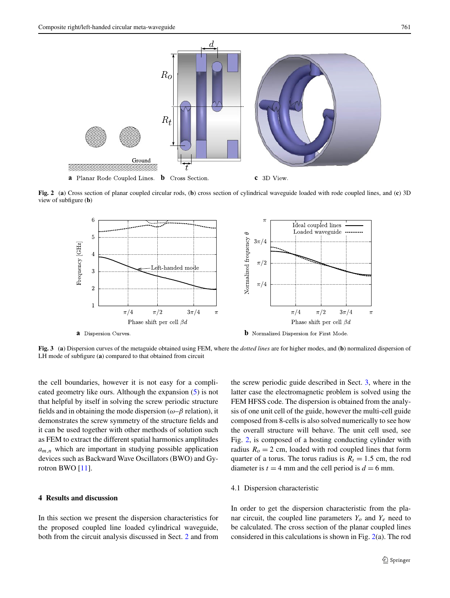

<span id="page-2-2"></span>**Fig. 2** (**a**) Cross section of planar coupled circular rods, (**b**) cross section of cylindrical waveguide loaded with rode coupled lines, and (**c**) 3D view of subfigure (**b**)



<span id="page-2-1"></span>**Fig. 3** (**a**) Dispersion curves of the metaguide obtained using FEM, where the *dotted lines* are for higher modes, and (**b**) normalized dispersion of LH mode of subfigure (**a**) compared to that obtained from circuit

the cell boundaries, however it is not easy for a complicated geometry like ours. Although the expansion ([5\)](#page-1-5) is not that helpful by itself in solving the screw periodic structure fields and in obtaining the mode dispersion (*ω*–*β* relation), it demonstrates the screw symmetry of the structure fields and it can be used together with other methods of solution such as FEM to extract the different spatial harmonics amplitudes  $a_{m,n}$  which are important in studying possible application devices such as Backward Wave Oscillators (BWO) and Gyrotron BWO [[11\]](#page-4-10).

# <span id="page-2-0"></span>**4 Results and discussion**

In this section we present the dispersion characteristics for the proposed coupled line loaded cylindrical waveguide, both from the circuit analysis discussed in Sect. [2](#page-0-0) and from the screw periodic guide described in Sect. [3,](#page-1-0) where in the latter case the electromagnetic problem is solved using the FEM HFSS code. The dispersion is obtained from the analysis of one unit cell of the guide, however the multi-cell guide composed from 8-cells is also solved numerically to see how the overall structure will behave. The unit cell used, see Fig. [2](#page-2-2), is composed of a hosting conducting cylinder with radius  $R<sub>o</sub> = 2$  cm, loaded with rod coupled lines that form quarter of a torus. The torus radius is  $R_t = 1.5$  cm, the rod diameter is  $t = 4$  mm and the cell period is  $d = 6$  mm.

### 4.1 Dispersion characteristic

In order to get the dispersion characteristic from the planar circuit, the coupled line parameters  $Y_o$  and  $Y_e$  need to be calculated. The cross section of the planar coupled lines considered in this calculations is shown in Fig. [2](#page-2-2)(a). The rod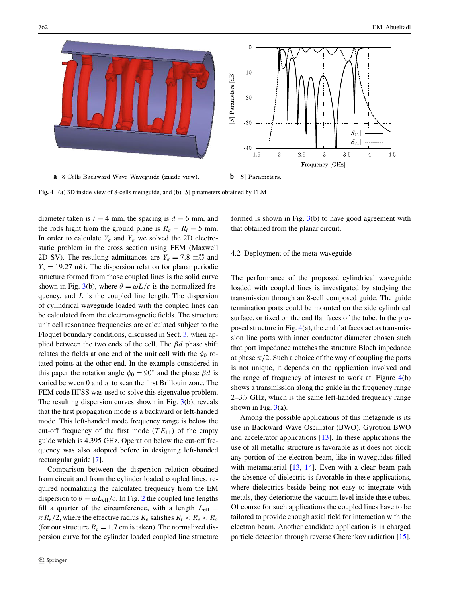

<span id="page-3-0"></span>**Fig. 4** (**a**) 3D inside view of 8-cells metaguide, and (**b**) |*S*| parameters obtained by FEM

diameter taken is  $t = 4$  mm, the spacing is  $d = 6$  mm, and the rods hight from the ground plane is  $R_o - R_t = 5$  mm. In order to calculate  $Y_e$  and  $Y_o$  we solved the 2D electrostatic problem in the cross section using FEM (Maxwell 2D SV). The resulting admittances are  $Y_e = 7.8$  m<sup>7</sup> and  $Y_0 = 19.27$  m<sup>7</sup>. The dispersion relation for planar periodic structure formed from those coupled lines is the solid curve shown in Fig. [3\(](#page-2-1)b), where  $\theta = \omega L/c$  is the normalized frequency, and *L* is the coupled line length. The dispersion of cylindrical waveguide loaded with the coupled lines can be calculated from the electromagnetic fields. The structure unit cell resonance frequencies are calculated subject to the Floquet boundary conditions, discussed in Sect. [3](#page-1-0), when applied between the two ends of the cell. The *βd* phase shift relates the fields at one end of the unit cell with the  $\phi_0$  rotated points at the other end. In the example considered in this paper the rotation angle  $\phi_0 = 90^\circ$  and the phase *βd* is varied between 0 and  $\pi$  to scan the first Brillouin zone. The FEM code HFSS was used to solve this eigenvalue problem. The resulting dispersion curves shown in Fig. [3\(](#page-2-1)b), reveals that the first propagation mode is a backward or left-handed mode. This left-handed mode frequency range is below the cut-off frequency of the first mode  $(T E_{11})$  of the empty guide which is 4.395 GHz. Operation below the cut-off frequency was also adopted before in designing left-handed rectangular guide [\[7](#page-4-5)].

Comparison between the dispersion relation obtained from circuit and from the cylinder loaded coupled lines, required normalizing the calculated frequency from the EM dispersion to  $\theta = \omega L_{\text{eff}}/c$ . In Fig. [2](#page-2-2) the coupled line lengths fill a quarter of the circumference, with a length  $L_{\text{eff}} =$  $\pi R_e/2$ , where the effective radius  $R_e$  satisfies  $R_t < R_e < R_o$ (for our structure  $R_e = 1.7$  cm is taken). The normalized dispersion curve for the cylinder loaded coupled line structure formed is shown in Fig.  $3(b)$  $3(b)$  to have good agreement with that obtained from the planar circuit.

## 4.2 Deployment of the meta-waveguide

The performance of the proposed cylindrical waveguide loaded with coupled lines is investigated by studying the transmission through an 8-cell composed guide. The guide termination ports could be mounted on the side cylindrical surface, or fixed on the end flat faces of the tube. In the proposed structure in Fig. [4](#page-3-0)(a), the end flat faces act as transmission line ports with inner conductor diameter chosen such that port impedance matches the structure Bloch impedance at phase  $\pi/2$ . Such a choice of the way of coupling the ports is not unique, it depends on the application involved and the range of frequency of interest to work at. Figure  $4(b)$  $4(b)$ shows a transmission along the guide in the frequency range 2–3.7 GHz, which is the same left-handed frequency range shown in Fig.  $3(a)$  $3(a)$ .

Among the possible applications of this metaguide is its use in Backward Wave Oscillator (BWO), Gyrotron BWO and accelerator applications [[13\]](#page-4-12). In these applications the use of all metallic structure is favorable as it does not block any portion of the electron beam, like in waveguides filled with metamaterial  $[13, 14]$  $[13, 14]$  $[13, 14]$  $[13, 14]$  $[13, 14]$ . Even with a clear beam path the absence of dielectric is favorable in these applications, where dielectrics beside being not easy to integrate with metals, they deteriorate the vacuum level inside these tubes. Of course for such applications the coupled lines have to be tailored to provide enough axial field for interaction with the electron beam. Another candidate application is in charged particle detection through reverse Cherenkov radiation [\[15](#page-4-14)].